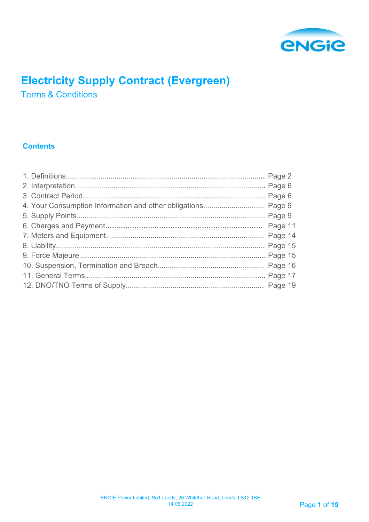

# **Electricity Supply Contract (Evergreen)**

Terms & Conditions

# **Contents**

| 4. Your Consumption Information and other obligations Page 9 |  |
|--------------------------------------------------------------|--|
|                                                              |  |
|                                                              |  |
|                                                              |  |
|                                                              |  |
|                                                              |  |
|                                                              |  |
|                                                              |  |
|                                                              |  |
|                                                              |  |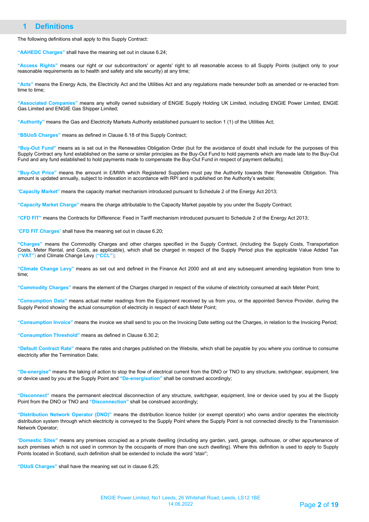## **1 Definitions**

The following definitions shall apply to this Supply Contract:

**"AAHEDC Charges"** shall have the meaning set out in clause 6.24;

**"Access Rights"** means our right or our subcontractors' or agents' right to all reasonable access to all Supply Points (subject only to your reasonable requirements as to health and safety and site security) at any time;

**"Acts"** means the Energy Acts, the Electricity Act and the Utilities Act and any regulations made hereunder both as amended or re-enacted from time to time;

**"Associated Companies"** means any wholly owned subsidiary of ENGIE Supply Holding UK Limited, including ENGIE Power Limited, ENGIE Gas Limited and ENGIE Gas Shipper Limited;

**"Authority"** means the Gas and Electricity Markets Authority established pursuant to section 1 (1) of the Utilities Act;

**"BSUoS Charges"** means as defined in Clause 6.18 of this Supply Contract;

**"Buy-Out Fund"** means as is set out in the Renewables Obligation Order (but for the avoidance of doubt shall include for the purposes of this Supply Contract any fund established on the same or similar principles as the Buy-Out Fund to hold payments which are made late to the Buy-Out Fund and any fund established to hold payments made to compensate the Buy-Out Fund in respect of payment defaults);

**"Buy-Out Price"** means the amount in £/MWh which Registered Suppliers must pay the Authority towards their Renewable Obligation. This amount is updated annually, subject to indexation in accordance with RPI and is published on the Authority's website;

"**Capacity Market"** means the capacity market mechanism introduced pursuant to Schedule 2 of the Energy Act 2013;

**"Capacity Market Charge"** means the charge attributable to the Capacity Market payable by you under the Supply Contract;

**"CFD FIT"** means the Contracts for Difference: Feed in Tariff mechanism introduced pursuant to Schedule 2 of the Energy Act 2013;

"**CFD FIT Charges**" shall have the meaning set out in clause 6.20;

**"Charges"** means the Commodity Charges and other charges specified in the Supply Contract, (including the Supply Costs, Transportation Costs, Meter Rental, and Costs, as applicable), which shall be charged in respect of the Supply Period plus the applicable Value Added Tax (**"VAT"**) and Climate Change Levy (**"CCL"**);

**"Climate Change Levy"** means as set out and defined in the Finance Act 2000 and all and any subsequent amending legislation from time to time;

**"Commodity Charges"** means the element of the Charges charged in respect of the volume of electricity consumed at each Meter Point;

**"Consumption Data"** means actual meter readings from the Equipment received by us from you, or the appointed Service Provider, during the Supply Period showing the actual consumption of electricity in respect of each Meter Point;

**"Consumption Invoice"** means the invoice we shall send to you on the Invoicing Date setting out the Charges, in relation to the Invoicing Period;

**"Consumption Threshold"** means as defined in Clause 6.30.2;

**"Default Contract Rate"** means the rates and charges published on the Website, which shall be payable by you where you continue to consume electricity after the Termination Date;

**"De-energise"** means the taking of action to stop the flow of electrical current from the DNO or TNO to any structure, switchgear, equipment, line or device used by you at the Supply Point and **"De-energisation"** shall be construed accordingly;

**"Disconnect"** means the permanent electrical disconnection of any structure, switchgear, equipment, line or device used by you at the Supply Point from the DNO or TNO and **"Disconnection"** shall be construed accordingly;

**"Distribution Network Operator (DNO)"** means the distribution licence holder (or exempt operator) who owns and/or operates the electricity distribution system through which electricity is conveyed to the Supply Point where the Supply Point is not connected directly to the Transmission Network Operator;

"**Domestic Sites"** means any premises occupied as a private dwelling (including any garden, yard, garage, outhouse, or other appurtenance of such premises which is not used in common by the occupants of more than one such dwelling). Where this definition is used to apply to Supply Points located in Scotland, such definition shall be extended to include the word "stair";

**"DUoS Charges"** shall have the meaning set out in clause 6.25;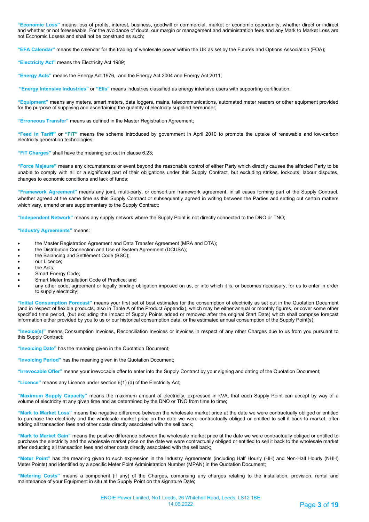**"Economic Loss"** means loss of profits, interest, business, goodwill or commercial, market or economic opportunity, whether direct or indirect and whether or not foreseeable. For the avoidance of doubt, our margin or management and administration fees and any Mark to Market Loss are not Economic Losses and shall not be construed as such;

**"EFA Calendar"** means the calendar for the trading of wholesale power within the UK as set by the Futures and Options Association (FOA);

**"Electricity Act"** means the Electricity Act 1989;

**"Energy Acts"** means the Energy Act 1976, and the Energy Act 2004 and Energy Act 2011;

**"Energy Intensive Industries"** or **"EIIs"** means industries classified as energy intensive users with supporting certification;

**"Equipment"** means any meters, smart meters, data loggers, mains, telecommunications, automated meter readers or other equipment provided for the purpose of supplying and ascertaining the quantity of electricity supplied hereunder;

**"Erroneous Transfer"** means as defined in the Master Registration Agreement;

**"Feed in Tariff"** or **"FiT"** means the scheme introduced by government in April 2010 to promote the uptake of renewable and low-carbon electricity generation technologies;

**"FiT Charges"** shall have the meaning set out in clause 6.23;

**"Force Majeure"** means any circumstances or event beyond the reasonable control of either Party which directly causes the affected Party to be unable to comply with all or a significant part of their obligations under this Supply Contract, but excluding strikes, lockouts, labour disputes, changes to economic conditions and lack of funds;

**"Framework Agreement"** means any joint, multi-party, or consortium framework agreement, in all cases forming part of the Supply Contract, whether agreed at the same time as this Supply Contract or subsequently agreed in writing between the Parties and setting out certain matters which vary, amend or are supplementary to the Supply Contract;

**"Independent Network"** means any supply network where the Supply Point is not directly connected to the DNO or TNO;

#### **"Industry Agreements"** means:

- the Master Registration Agreement and Data Transfer Agreement (MRA and DTA);
- the Distribution Connection and Use of System Agreement (DCUSA);
- the Balancing and Settlement Code (BSC);
- our Licence;
- the Acts;
- Smart Energy Code;
- Smart Meter Installation Code of Practice; and
- any other code, agreement or legally binding obligation imposed on us, or into which it is, or becomes necessary, for us to enter in order to supply electricity;

**"Initial Consumption Forecast"** means your first set of best estimates for the consumption of electricity as set out in the Quotation Document (and in respect of flexible products, also in Table A of the Product Appendix), which may be either annual or monthly figures, or cover some other specified time period, (but excluding the impact of Supply Points added or removed after the original Start Date) which shall comprise forecast information either provided by you to us or our historical consumption data, or the estimated annual consumption of the Supply Point(s);

**"Invoice(s)"** means Consumption Invoices, Reconciliation Invoices or invoices in respect of any other Charges due to us from you pursuant to this Supply Contract;

**"Invoicing Date"** has the meaning given in the Quotation Document;

**"Invoicing Period"** has the meaning given in the Quotation Document;

**"Irrevocable Offer"** means your irrevocable offer to enter into the Supply Contract by your signing and dating of the Quotation Document;

**"Licence"** means any Licence under section 6(1) (d) of the Electricity Act;

**"Maximum Supply Capacity"** means the maximum amount of electricity, expressed in kVA, that each Supply Point can accept by way of a volume of electricity at any given time and as determined by the DNO or TNO from time to time;

**"Mark to Market Loss"** means the negative difference between the wholesale market price at the date we were contractually obliged or entitled to purchase the electricity and the wholesale market price on the date we were contractually obliged or entitled to sell it back to market, after adding all transaction fees and other costs directly associated with the sell back;

**"Mark to Market Gain"** means the positive difference between the wholesale market price at the date we were contractually obliged or entitled to purchase the electricity and the wholesale market price on the date we were contractually obliged or entitled to sell it back to the wholesale market after deducting all transaction fees and other costs directly associated with the sell back;

**"Meter Point"** has the meaning given to such expression in the Industry Agreements (including Half Hourly (HH) and Non-Half Hourly (NHH) Meter Points) and identified by a specific Meter Point Administration Number (MPAN) in the Quotation Document;

**"Metering Costs"** means a component (if any) of the Charges, comprising any charges relating to the installation, provision, rental and maintenance of your Equipment in situ at the Supply Point on the signature Date;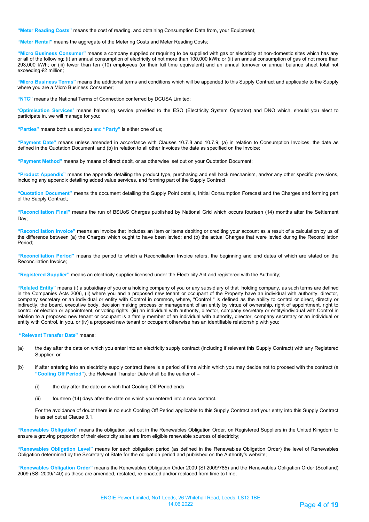**"Meter Reading Costs"** means the cost of reading, and obtaining Consumption Data from, your Equipment;

**"Meter Rental"** means the aggregate of the Metering Costs and Meter Reading Costs;

**"Micro Business Consumer"** means a company supplied or requiring to be supplied with gas or electricity at non-domestic sites which has any or all of the following; (i) an annual consumption of electricity of not more than 100,000 kWh; or (ii) an annual consumption of gas of not more than 293,000 kWh; or (iii) fewer than ten (10) employees (or their full time equivalent) and an annual turnover or annual balance sheet total not exceeding €2 million;

**"Micro Business Terms"** means the additional terms and conditions which will be appended to this Supply Contract and applicable to the Supply where you are a Micro Business Consumer;

**"NTC"** means the National Terms of Connection conferred by DCUSA Limited;

"**Optimisation Services**" means balancing service provided to the ESO (Electricity System Operator) and DNO which, should you elect to participate in, we will manage for you;

**"Parties"** means both us and you and **"Party"** is either one of us;

**"Payment Date"** means unless amended in accordance with Clauses 10.7.8 and 10.7.9; (a) in relation to Consumption Invoices, the date as defined in the Quotation Document; and (b) in relation to all other Invoices the date as specified on the Invoice;

**"Payment Method"** means by means of direct debit, or as otherwise set out on your Quotation Document;

**"Product Appendix"** means the appendix detailing the product type, purchasing and sell back mechanism, and/or any other specific provisions, including any appendix detailing added value services, and forming part of the Supply Contract;

**"Quotation Document"** means the document detailing the Supply Point details, Initial Consumption Forecast and the Charges and forming part of the Supply Contract;

**"Reconciliation Final"** means the run of BSUoS Charges published by National Grid which occurs fourteen (14) months after the Settlement Day;

**"Reconciliation Invoice"** means an invoice that includes an item or items debiting or crediting your account as a result of a calculation by us of the difference between (a) the Charges which ought to have been levied; and (b) the actual Charges that were levied during the Reconciliation Period;

**"Reconciliation Period"** means the period to which a Reconciliation Invoice refers, the beginning and end dates of which are stated on the Reconciliation Invoice;

**"Registered Supplier"** means an electricity supplier licensed under the Electricity Act and registered with the Authority;

**"Related Entity"** means (i) a subsidiary of you or a holding company of you or any subsidiary of that holding company, as such terms are defined in the Companies Acts 2006, (ii) where you and a proposed new tenant or occupant of the Property have an individual with authority, director, company secretary or an individual or entity with Control in common, where, "Control " is defined as the ability to control or direct, directly or indirectly, the board, executive body, decision making process or management of an entity by virtue of ownership, right of appointment, right to control or election or appointment, or voting rights, (iii) an individual with authority, director, company secretary or entity/individual with Control in relation to a proposed new tenant or occupant is a family member of an individual with authority, director, company secretary or an individual or entity with Control, in you, or (iv) a proposed new tenant or occupant otherwise has an identifiable relationship with you;

**"Relevant Transfer Date"** means:

- (a) the day after the date on which you enter into an electricity supply contract (including if relevant this Supply Contract) with any Registered Supplier; or
- (b) if after entering into an electricity supply contract there is a period of time within which you may decide not to proceed with the contract (a **"Cooling Off Period"**), the Relevant Transfer Date shall be the earlier of –
	- (i) the day after the date on which that Cooling Off Period ends;
	- (ii) fourteen (14) days after the date on which you entered into a new contract.

For the avoidance of doubt there is no such Cooling Off Period applicable to this Supply Contract and your entry into this Supply Contract is as set out at Clause 3.1.

**"Renewables Obligation"** means the obligation, set out in the Renewables Obligation Order, on Registered Suppliers in the United Kingdom to ensure a growing proportion of their electricity sales are from eligible renewable sources of electricity;

**"Renewables Obligation Level"** means for each obligation period (as defined in the Renewables Obligation Order) the level of Renewables Obligation determined by the Secretary of State for the obligation period and published on the Authority's website;

**"Renewables Obligation Order"** means the Renewables Obligation Order 2009 (SI 2009/785) and the Renewables Obligation Order (Scotland) 2009 (SSI 2009/140) as these are amended, restated, re-enacted and/or replaced from time to time;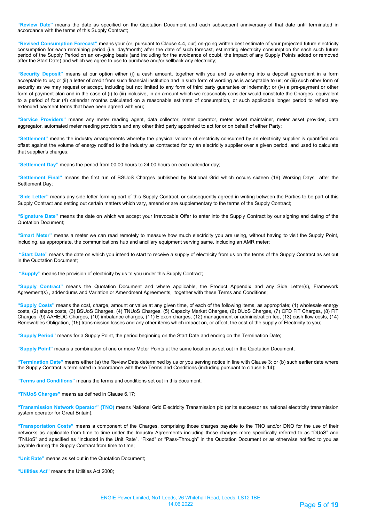**"Review Date"** means the date as specified on the Quotation Document and each subsequent anniversary of that date until terminated in accordance with the terms of this Supply Contract;

**"Revised Consumption Forecast"** means your (or, pursuant to Clause 4.4, our) on-going written best estimate of your projected future electricity consumption for each remaining period (i.e. day/month) after the date of such forecast, estimating electricity consumption for each such future period of the Supply Period on an on-going basis (and including for the avoidance of doubt, the impact of any Supply Points added or removed after the Start Date) and which we agree to use to purchase and/or sellback any electricity;

**"Security Deposit"** means at our option either (i) a cash amount, together with you and us entering into a deposit agreement in a form acceptable to us; or (ii) a letter of credit from such financial institution and in such form of wording as is acceptable to us; or (iii) such other form of security as we may request or accept, including but not limited to any form of third party guarantee or indemnity; or (iv) a pre-payment or other form of payment plan and in the case of (i) to (iii) inclusive, in an amount which we reasonably consider would constitute the Charges equivalent to a period of four (4) calendar months calculated on a reasonable estimate of consumption, or such applicable longer period to reflect any extended payment terms that have been agreed with you;

**"Service Providers"** means any meter reading agent, data collector, meter operator, meter asset maintainer, meter asset provider, data aggregator, automated meter reading providers and any other third party appointed to act for or on behalf of either Party;

**"Settlement"** means the industry arrangements whereby the physical volume of electricity consumed by an electricity supplier is quantified and offset against the volume of energy notified to the industry as contracted for by an electricity supplier over a given period, and used to calculate that supplier's charges;

**"Settlement Day"** means the period from 00:00 hours to 24:00 hours on each calendar day;

**"Settlement Final"** means the first run of BSUoS Charges published by National Grid which occurs sixteen (16) Working Days after the Settlement Day;

**"Side Letter"** means any side letter forming part of this Supply Contract, or subsequently agreed in writing between the Parties to be part of this Supply Contract and setting out certain matters which vary, amend or are supplementary to the terms of the Supply Contract;

**"Signature Date"** means the date on which we accept your Irrevocable Offer to enter into the Supply Contract by our signing and dating of the Quotation Document;

**"Smart Meter"** means a meter we can read remotely to measure how much electricity you are using, without having to visit the Supply Point, including, as appropriate, the communications hub and ancillary equipment serving same, including an AMR meter;

**"Start Date"** means the date on which you intend to start to receive a supply of electricity from us on the terms of the Supply Contract as set out in the Quotation Document;

**"Supply"** means the provision of electricity by us to you under this Supply Contract;

**"Supply Contract"** means the Quotation Document and where applicable, the Product Appendix and any Side Letter(s), Framework Agreement(s) , addendums and Variation or Amendment Agreements, together with these Terms and Conditions;

**"Supply Costs"** means the cost, charge, amount or value at any given time, of each of the following items, as appropriate; (1) wholesale energy costs, (2) shape costs, (3) BSUoS Charges, (4) TNUoS Charges, (5) Capacity Market Charges, (6) DUoS Charges, (7) CFD FiT Charges, (8) FiT Charges, (9) AAHEDC Charges, (10) imbalance charges, (11) Elexon charges, (12) management or administration fee, (13) cash flow costs, (14) Renewables Obligation, (15) transmission losses and any other items which impact on, or affect, the cost of the supply of Electricity to you;

**"Supply Period"** means for a Supply Point, the period beginning on the Start Date and ending on the Termination Date;

**"Supply Point"** means a combination of one or more Meter Points at the same location as set out in the Quotation Document;

**"Termination Date"** means either (a) the Review Date determined by us or you serving notice in line with Clause 3; or (b) such earlier date where the Supply Contract is terminated in accordance with these Terms and Conditions (including pursuant to clause 5.14);

**"Terms and Conditions"** means the terms and conditions set out in this document;

**"TNUoS Charges"** means as defined in Clause 6.17;

**"Transmission Network Operator" (TNO)** means National Grid Electricity Transmission plc (or its successor as national electricity transmission system operator for Great Britain);

**"Transportation Costs"** means a component of the Charges, comprising those charges payable to the TNO and/or DNO for the use of their networks as applicable from time to time under the Industry Agreements including those charges more specifically referred to as "DUoS" and "TNUoS" and specified as "Included in the Unit Rate", "Fixed" or "Pass-Through" in the Quotation Document or as otherwise notified to you as payable during the Supply Contract from time to time;

**"Unit Rate"** means as set out in the Quotation Document;

**"Utilities Act"** means the Utilities Act 2000;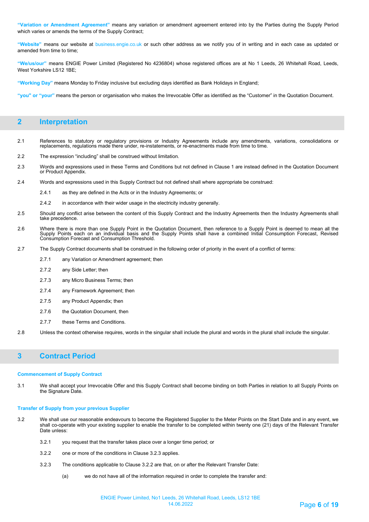**"Variation or Amendment Agreement"** means any variation or amendment agreement entered into by the Parties during the Supply Period which varies or amends the terms of the Supply Contract;

**"Website"** means our website at business.engie.co.uk or such other address as we notify you of in writing and in each case as updated or amended from time to time;

**"We/us/our"** means ENGIE Power Limited (Registered No 4236804) whose registered offices are at No 1 Leeds, 26 Whitehall Road, Leeds, West Yorkshire LS12 1BE;

**"Working Day"** means Monday to Friday inclusive but excluding days identified as Bank Holidays in England;

**"you" or "your"** means the person or organisation who makes the Irrevocable Offer as identified as the "Customer" in the Quotation Document.

### **2 Interpretation**

- 2.1 References to statutory or regulatory provisions or Industry Agreements include any amendments, variations, consolidations or replacements, regulations made there under, re-instatements, or re-enactments made from time to time.
- 2.2 The expression "including" shall be construed without limitation.
- 2.3 Words and expressions used in these Terms and Conditions but not defined in Clause 1 are instead defined in the Quotation Document or Product Appendix.
- 2.4 Words and expressions used in this Supply Contract but not defined shall where appropriate be construed:
	- 2.4.1 as they are defined in the Acts or in the Industry Agreements; or
	- 2.4.2 in accordance with their wider usage in the electricity industry generally.
- 2.5 Should any conflict arise between the content of this Supply Contract and the Industry Agreements then the Industry Agreements shall take precedence.
- 2.6 Where there is more than one Supply Point in the Quotation Document, then reference to a Supply Point is deemed to mean all the Supply Points each on an individual basis and the Supply Points shall have a combined Initial Consumption Forecast, Revised Consumption Forecast and Consumption Threshold.
- 2.7 The Supply Contract documents shall be construed in the following order of priority in the event of a conflict of terms:
	- 2.7.1 any Variation or Amendment agreement; then
	- 2.7.2 any Side Letter; then
	- 2.7.3 any Micro Business Terms; then
	- 2.7.4 any Framework Agreement; then
	- 2.7.5 any Product Appendix; then
	- 2.7.6 the Quotation Document, then
	- 2.7.7 these Terms and Conditions.
- 2.8 Unless the context otherwise requires, words in the singular shall include the plural and words in the plural shall include the singular.

## **3 Contract Period**

#### **Commencement of Supply Contract**

3.1 We shall accept your Irrevocable Offer and this Supply Contract shall become binding on both Parties in relation to all Supply Points on the Signature Date.

#### **Transfer of Supply from your previous Supplier**

- 3.2 We shall use our reasonable endeavours to become the Registered Supplier to the Meter Points on the Start Date and in any event, we shall co-operate with your existing supplier to enable the transfer to be completed within twenty one (21) days of the Relevant Transfer Date unless:
	- 3.2.1 you request that the transfer takes place over a longer time period; or
	- 3.2.2 one or more of the conditions in Clause 3.2.3 applies.
	- 3.2.3 The conditions applicable to Clause 3.2.2 are that, on or after the Relevant Transfer Date:
		- (a) we do not have all of the information required in order to complete the transfer and: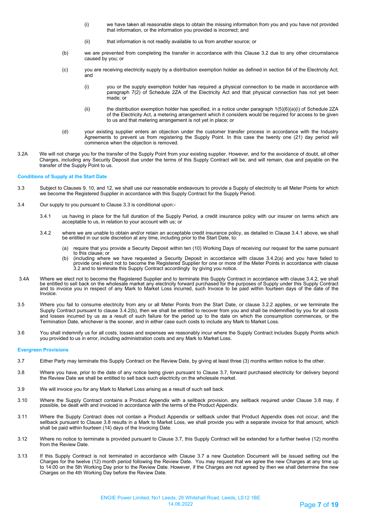- (i) we have taken all reasonable steps to obtain the missing information from you and you have not provided that information, or the information you provided is incorrect; and
- (ii) that information is not readily available to us from another source; or
- (b) we are prevented from completing the transfer in accordance with this Clause 3.2 due to any other circumstance caused by you; or
- (c) you are receiving electricity supply by a distribution exemption holder as defined in section 64 of the Electricity Act; and
	- (i) you or the supply exemption holder has required a physical connection to be made in accordance with paragraph 7(2) of Schedule 2ZA of the Electricity Act and that physical connection has not yet been made; or
	- (ii) the distribution exemption holder has specified, in a notice under paragraph 1(5)(6)(a)(i) of Schedule 2ZA of the Electricity Act, a metering arrangement which it considers would be required for access to be given to us and that metering arrangement is not yet in place; or
- (d) your existing supplier enters an objection under the customer transfer process in accordance with the Industry Agreements to prevent us from registering the Supply Point. In this case the twenty one (21) day period will commence when the objection is removed.
- 3.2A We will not charge you for the transfer of the Supply Point from your existing supplier. However, and for the avoidance of doubt, all other Charges, including any Security Deposit due under the terms of this Supply Contract will be, and will remain, due and payable on the transfer of the Supply Point to us.

#### **Conditions of Supply at the Start Date**

- 3.3 Subject to Clauses 9, 10, and 12, we shall use our reasonable endeavours to provide a Supply of electricity to all Meter Points for which we become the Registered Supplier in accordance with this Supply Contract for the Supply Period.
- 3.4 Our supply to you pursuant to Clause 3.3 is conditional upon:-
	- 3.4.1 us having in place for the full duration of the Supply Period, a credit insurance policy with our insurer on terms which are acceptable to us, in relation to your account with us; or
	- 3.4.2 where we are unable to obtain and/or retain an acceptable credit insurance policy, as detailed in Clause 3.4.1 above, we shall be entitled in our sole discretion at any time, including prior to the Start Date, to:
		- (a) require that you provide a Security Deposit within ten (10) Working Days of receiving our request for the same pursuant to this clause; or
		- (b) (including where we have requested a Security Deposit in accordance with clause 3.4.2(a) and you have failed to provide one) elect not to become the Registered Supplier for one or more of the Meter Points in accordance with clause 3.2 and to terminate this Supply Contract accordingly by giving you notice.
- 3.4A Where we elect not to become the Registered Supplier and to terminate this Supply Contract in accordance with clause 3.4.2, we shall<br>be entitled to sell back on the wholesale market any electricity forward purchased f and to invoice you in respect of any Mark to Market Loss incurred, such Invoice to be paid within fourteen days of the date of the Invoice.
- 3.5 Where you fail to consume electricity from any or all Meter Points from the Start Date, or clause 3.2.2 applies, or we terminate the Supply Contract pursuant to clause 3.4.2(b), then we shall be entitled to recover from you and shall be indemnified by you for all costs and losses incurred by us as a result of such failure for the period up to the date on which the consumption commences, or the Termination Date, whichever is the sooner, and in either case such costs to include any Mark to Market Loss.
- 3.6 You shall indemnify us for all costs, losses and expenses we reasonably incur where the Supply Contract includes Supply Points which you provided to us in error, including administration costs and any Mark to Market Loss.

#### **Evergreen Provisions**

- 3.7 Either Party may terminate this Supply Contract on the Review Date, by giving at least three (3) months written notice to the other.
- 3.8 Where you have, prior to the date of any notice being given pursuant to Clause 3.7, forward purchased electricity for delivery beyond the Review Date we shall be entitled to sell back such electricity on the wholesale market.
- 3.9 We will invoice you for any Mark to Market Loss arising as a result of such sell back.
- 3.10 Where the Supply Contract contains a Product Appendix with a sellback provision, any sellback required under Clause 3.8 may, if possible, be dealt with and invoiced in accordance with the terms of the Product Appendix.
- 3.11 Where the Supply Contract does not contain a Product Appendix or sellback under that Product Appendix does not occur, and the sellback pursuant to Clause 3.8 results in a Mark to Market Loss, we shall provide you with a separate invoice for that amount, which shall be paid within fourteen (14) days of the Invoicing Date.
- 3.12 Where no notice to terminate is provided pursuant to Clause 3.7, this Supply Contract will be extended for a further twelve (12) months from the Review Date.
- 3.13 If this Supply Contract is not terminated in accordance with Clause 3.7 a new Quotation Document will be issued setting out the Charges for the twelve (12) month period following the Review Date. You may request that we agree the new Charges at any time up to 14:00 on the 5th Working Day prior to the Review Date. However, if the Charges are not agreed by then we shall determine the new Charges on the 4th Working Day before the Review Date.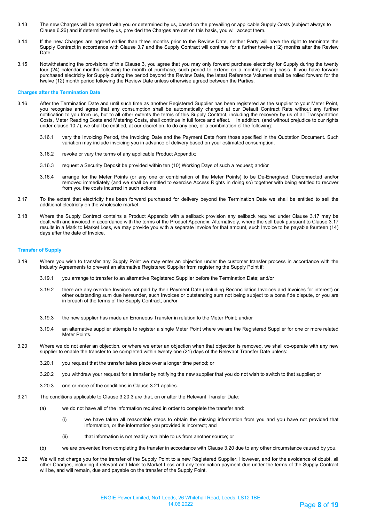- 3.13 The new Charges will be agreed with you or determined by us, based on the prevailing or applicable Supply Costs (subject always to Clause 6.26) and if determined by us, provided the Charges are set on this basis, you will accept them.
- 3.14 If the new Charges are agreed earlier than three months prior to the Review Date, neither Party will have the right to terminate the Supply Contract in accordance with Clause 3.7 and the Supply Contract will continue for a further twelve (12) months after the Review Date.
- 3.15 Notwithstanding the provisions of this Clause 3, you agree that you may only forward purchase electricity for Supply during the twenty four (24) calendar months following the month of purchase, such period to extend on a monthly rolling basis. If you have forward purchased electricity for Supply during the period beyond the Review Date, the latest Reference Volumes shall be rolled forward for the twelve (12) month period following the Review Date unless otherwise agreed between the Parties.

#### **Charges after the Termination Date**

- 3.16 After the Termination Date and until such time as another Registered Supplier has been registered as the supplier to your Meter Point, you recognise and agree that any consumption shall be automatically charged at our Default Contract Rate without any further notification to you from us, but to all other extents the terms of this Supply Contract, including the recovery by us of all Transportation Costs, Meter Reading Costs and Metering Costs, shall continue in full force and effect. In addition, (and without prejudice to our rights under clause 10.7), we shall be entitled, at our discretion, to do any one, or a combination of the following:
	- 3.16.1 vary the Invoicing Period, the Invoicing Date and the Payment Date from those specified in the Quotation Document. Such variation may include invoicing you in advance of delivery based on your estimated consumption;
	- 3.16.2 revoke or vary the terms of any applicable Product Appendix;
	- 3.16.3 request a Security Deposit be provided within ten (10) Working Days of such a request; and/or
	- 3.16.4 arrange for the Meter Points (or any one or combination of the Meter Points) to be De-Energised, Disconnected and/or removed immediately (and we shall be entitled to exercise Access Rights in doing so) together with being entitled to recover from you the costs incurred in such actions.
- 3.17 To the extent that electricity has been forward purchased for delivery beyond the Termination Date we shall be entitled to sell the additional electricity on the wholesale market.
- 3.18 Where the Supply Contract contains a Product Appendix with a sellback provision any sellback required under Clause 3.17 may be dealt with and invoiced in accordance with the terms of the Product Appendix. Alternatively, where the sell back pursuant to Clause 3.17 results in a Mark to Market Loss, we may provide you with a separate Invoice for that amount, such Invoice to be payable fourteen (14) days after the date of Invoice.

#### **Transfer of Supply**

- 3.19 Where you wish to transfer any Supply Point we may enter an objection under the customer transfer process in accordance with the Industry Agreements to prevent an alternative Registered Supplier from registering the Supply Point if:
	- 3.19.1 you arrange to transfer to an alternative Registered Supplier before the Termination Date; and/or
	- 3.19.2 there are any overdue Invoices not paid by their Payment Date (including Reconciliation Invoices and Invoices for interest) or other outstanding sum due hereunder, such Invoices or outstanding sum not being subject to a bona fide dispute, or you are in breach of the terms of the Supply Contract; and/or
	- 3.19.3 the new supplier has made an Erroneous Transfer in relation to the Meter Point; and/or
	- 3.19.4 an alternative supplier attempts to register a single Meter Point where we are the Registered Supplier for one or more related Meter Points.
- 3.20 Where we do not enter an objection, or where we enter an objection when that objection is removed, we shall co-operate with any new supplier to enable the transfer to be completed within twenty one (21) days of the Relevant Transfer Date unless:
	- 3.20.1 you request that the transfer takes place over a longer time period; or
	- 3.20.2 you withdraw your request for a transfer by notifying the new supplier that you do not wish to switch to that supplier; or
	- 3.20.3 one or more of the conditions in Clause 3.21 applies.
- 3.21 The conditions applicable to Clause 3.20.3 are that, on or after the Relevant Transfer Date:
	- (a) we do not have all of the information required in order to complete the transfer and:
		- (i) we have taken all reasonable steps to obtain the missing information from you and you have not provided that information, or the information you provided is incorrect; and
		- (ii) that information is not readily available to us from another source; or
	- (b) we are prevented from completing the transfer in accordance with Clause 3.20 due to any other circumstance caused by you.
- 3.22 We will not charge you for the transfer of the Supply Point to a new Registered Supplier. However, and for the avoidance of doubt, all other Charges, including if relevant and Mark to Market Loss and any termination payment due under the terms of the Supply Contract will be, and will remain, due and payable on the transfer of the Supply Point.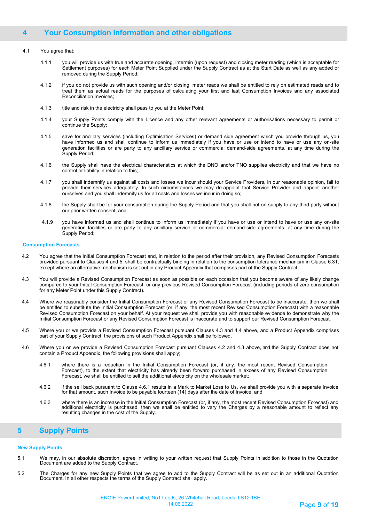## **4 Your Consumption Information and other obligations**

#### 4.1 You agree that:

- 4.1.1 you will provide us with true and accurate opening, intermin (upon request) and closing meter reading (which is acceptable for Settlement purposes) for each Meter Point Supplied under the Supply Contract as at the Start Date as well as any added or removed during the Supply Period;
- 4.1.2 if you do not provide us with such opening and/or closing meter reads we shall be entitled to rely on estimated reads and to treat them as actual reads for the purposes of calculating your first and last Consumption Invoices and any associated Reconciliation Invoices;
- 4.1.3 title and risk in the electricity shall pass to you at the Meter Point;
- 4.1.4 your Supply Points comply with the Licence and any other relevant agreements or authorisations necessary to permit or continue the Supply;
- 4.1.5 save for ancillary services (including Optimisation Services) or demand side agreement which you provide through us, you have informed us and shall continue to inform us immediately if you have or use or intend to have or use any on-site generation facilities or are party to any ancillary service or commercial demand-side agreements, at any time during the Supply Period;
- 4.1.6 the Supply shall have the electrical characteristics at which the DNO and/or TNO supplies electricity and that we have no control or liability in relation to this;
- 4.1.7 you shall indemnify us against all costs and losses we incur should your Service Providers, in our reasonable opinion, fail to provide their services adequately. In such circumstances we may de-appoint that Service Provider and appoint another ourselves and you shall indemnify us for all costs and losses we incur in doing so;
- 4.1.8 the Supply shall be for your consumption during the Supply Period and that you shall not on-supply to any third party without our prior written consent; and
- 4.1.9 you have informed us and shall continue to inform us immediately if you have or use or intend to have or use any on-site generation facilities or are party to any ancillary service or commercial demand-side agreements, at any time during the Supply Period;

#### **Consumption Forecasts**

- 4.2 You agree that the Initial Consumption Forecast and, in relation to the period after their provision, any Revised Consumption Forecasts provided pursuant to Clauses 4 and 5, shall be contractually binding in relation to the consumption tolerance mechanism in Clause 6.31, except where an alternative mechanism is set out in any Product Appendix that comprises part of the Supply Contract..
- 4.3 You will provide a Revised Consumption Forecast as soon as possible on each occasion that you become aware of any likely change compared to your Initial Consumption Forecast, or any previous Revised Consumption Forecast (including periods of zero consumption for any Meter Point under this Supply Contract).
- 4.4 Where we reasonably consider the Initial Consumption Forecast or any Revised Consumption Forecast to be inaccurate, then we shall be entitled to substitute the Initial Consumption Forecast (or, if any, the most recent Revised Consumption Forecast) with a reasonable Revised Consumption Forecast on your behalf. At your request we shall provide you with reasonable evidence to demonstrate why the Initial Consumption Forecast or any Revised Consumption Forecast is inaccurate and to support our Revised Consumption Forecast.
- 4.5 Where you or we provide a Revised Consumption Forecast pursuant Clauses 4.3 and 4.4 above, and a Product Appendix comprises part of your Supply Contract, the provisions of such Product Appendix shall be followed.
- 4.6 Where you or we provide a Revised Consumption Forecast pursuant Clauses 4.2 and 4.3 above, and the Supply Contract does not contain a Product Appendix, the following provisions shall apply;
	- 4.6.1 where there is a reduction in the Initial Consumption Forecast (or, if any, the most recent Revised Consumption Forecast), to the extent that electricity has already been forward purchased in excess of any Revised Consumption Forecast, we shall be entitled to sell the additional electricity on the wholesale market;
	- 4.6.2 if the sell back pursuant to Clause 4.6.1 results in a Mark to Market Loss to Us, we shall provide you with a separate Invoice for that amount, such Invoice to be payable fourteen (14) days after the date of Invoice; and
	- 4.6.3 where there is an increase in the Initial Consumption Forecast (or, if any, the most recent Revised Consumption Forecast) and additional electricity is purchased, then we shall be entitled to vary the Charges by a reasonable amount to reflect any resulting changes in the cost of the Supply.

## **5 Supply Points**

#### **New Supply Points**

- 5.1 We may, in our absolute discretion, agree in writing to your written request that Supply Points in addition to those in the Quotation Document are added to the Supply Contract.
- 5.2 The Charges for any new Supply Points that we agree to add to the Supply Contract will be as set out in an additional Quotation Document. In all other respects the terms of the Supply Contract shall apply.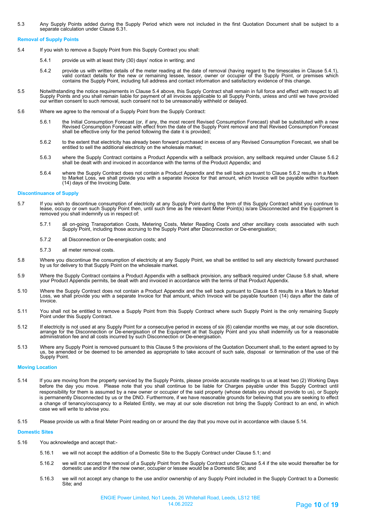5.3 Any Supply Points added during the Supply Period which were not included in the first Quotation Document shall be subject to a separate calculation under Clause 6.31.

#### **Removal of Supply Points**

- 5.4 If you wish to remove a Supply Point from this Supply Contract you shall:
	- 5.4.1 provide us with at least thirty (30) days' notice in writing; and
	- 5.4.2 provide us with written details of the meter reading at the date of removal (having regard to the timescales in Clause 5.4.1),<br>valid contact details for the new or remaining lessee, lessor, owner or occupier of the S contains the Supply Point, including full address and contact information and satisfactory evidence of this change.
- 5.5 Notwithstanding the notice requirements in Clause 5.4 above, this Supply Contract shall remain in full force and effect with respect to all Supply Points and you shall remain liable for payment of all invoices applicable to all Supply Points, unless and until we have provided<br>our written consent to such removal, such consent not to be unreasonably withheld or
- 5.6 Where we agree to the removal of a Supply Point from the Supply Contract:
	- 5.6.1 the Initial Consumption Forecast (or, if any, the most recent Revised Consumption Forecast) shall be substituted with a new Revised Consumption Forecast with effect from the date of the Supply Point removal and that Revised Consumption Forecast shall be effective only for the period following the date it is provided;
	- 5.6.2 to the extent that electricity has already been forward purchased in excess of any Revised Consumption Forecast, we shall be entitled to sell the additional electricity on the wholesale market;
	- 5.6.3 where the Supply Contract contains a Product Appendix with a sellback provision, any sellback required under Clause 5.6.2 shall be dealt with and invoiced in accordance with the terms of the Product Appendix; and
	- 5.6.4 where the Supply Contract does not contain a Product Appendix and the sell back pursuant to Clause 5.6.2 results in a Mark to Market Loss, we shall provide you with a separate Invoice for that amount, which Invoice will be payable within fourteen (14) days of the Invoicing Date.

#### **Discontinuance of Supply**

- 5.7 If you wish to discontinue consumption of electricity at any Supply Point during the term of this Supply Contract whilst you continue to lease, occupy or own such Supply Point then, until such time as the relevant Meter Point(s) is/are Disconnected and the Equipment is removed you shall indemnify us in respect of:
	- 5.7.1 all on-going Transportation Costs, Metering Costs, Meter Reading Costs and other ancillary costs associated with such Supply Point, including those accruing to the Supply Point after Disconnection or De-energisation;
	- 5.7.2 all Disconnection or De-energisation costs; and
	- 5.7.3 all meter removal costs.
- 5.8 Where you discontinue the consumption of electricity at any Supply Point, we shall be entitled to sell any electricity forward purchased by us for delivery to that Supply Point on the wholesale market.
- 5.9 Where the Supply Contract contains a Product Appendix with a sellback provision, any sellback required under Clause 5.8 shall, where your Product Appendix permits, be dealt with and invoiced in accordance with the terms of that Product Appendix.
- 5.10 Where the Supply Contract does not contain a Product Appendix and the sell back pursuant to Clause 5.8 results in a Mark to Market<br>Loss, we shall provide you with a separate Invoice for that amount, which Invoice will Invoice.
- 5.11 You shall not be entitled to remove a Supply Point from this Supply Contract where such Supply Point is the only remaining Supply Point under this Supply Contract.
- 5.12 If electricity is not used at any Supply Point for a consecutive period in excess of six (6) calendar months we may, at our sole discretion,<br>arrange for the Disconnection or De-energisation of the Equipment at that administration fee and all costs incurred by such Disconnection or De-energisation.
- 5.13 Where any Supply Point is removed pursuant to this Clause 5 the provisions of the Quotation Document shall, to the extent agreed to by us, be amended or be deemed to be amended as appropriate to take account of such sale, disposal or termination of the use of the Supply Point.

#### **Moving Location**

- 5.14 If you are moving from the property serviced by the Supply Points, please provide accurate readings to us at least two (2) Working Days before the day you move. Please note that you shall continue to be liable for Charges payable under this Supply Contract until responsibility for them is assumed by a new owner or occupier of the said property (whose details you should provide to us), or Supply is permanently Disconnected by us or the DNO. Furthermore, if we have reasonable grounds for believing that you are seeking to effect a change of tenancy/occupancy to a Related Entity, we may at our sole discretion not bring the Supply Contract to an end, in which case we will write to advise you.
- 5.15 Please provide us with a final Meter Point reading on or around the day that you move out in accordance with clause 5.14.

#### **Domestic Sites**

- 5.16 You acknowledge and accept that:-
	- 5.16.1 we will not accept the addition of a Domestic Site to the Supply Contract under Clause 5.1; and
	- 5.16.2 we will not accept the removal of a Supply Point from the Supply Contract under Clause 5.4 if the site would thereafter be for domestic use and/or if the new owner, occupier or lessee would be a Domestic Site; and
	- 5.16.3 we will not accept any change to the use and/or ownership of any Supply Point included in the Supply Contract to a Domestic Site; and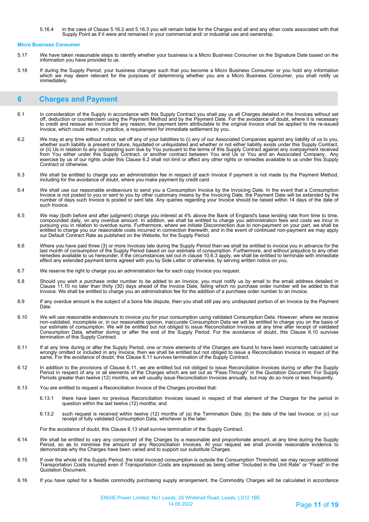5.16.4 in the case of Clause 5.16.2 and 5.16.3 you will remain liable for the Charges and all and any other costs associated with that Supply Point as if it were and remained in your commercial and/ or industrial use and ownership.

#### **Micro Business Consumer**

- 5.17 We have taken reasonable steps to identify whether your business is a Micro Business Consumer on the Signature Date based on the information you have provided to us.
- 5.18 If during the Supply Period, your business changes such that you become a Micro Business Consumer or you hold any information which we may deem relevant for the purposes of determining whether you are a Micro Business Consumer, you shall notify us immediately.

## **6 Charges and Payment**

- 6.1 In consideration of the Supply in accordance with this Supply Contract you shall pay us all Charges detailed in the Invoices without set off, deduction or counterclaim using the Payment Method and by the Payment Date. For the avoidance of doubt, where it is necessary to credit and reissue an Invoice for any reason, the payment term attributable to the original Invoice shall be applied to the re-issued Invoice, which could mean, in practice, a requirement for immediate settlement by you.
- 6.2 We may at any time without notice, set off any of your liabilities to (i) any of our Associated Companies against any liability of us to you, whether such liability is present or future, liquidated or unliquidated and whether or not either liability exists under this Supply Contract,<br>or (ii) Us in relation to any outstanding sum due by You pursuant to the terms from You either under this Supply Contract, or another contract between You and Us or You and an Associated Company.. Any exercise by us of our rights under this Clause 6.2 shall not limit or affect any other rights or remedies available to us under this Supply Contract or otherwise.
- 6.3 We shall be entitled to charge you an administration fee in respect of each Invoice if payment is not made by the Payment Method, including for the avoidance of doubt, where you make payment by credit card.
- 6.4 We shall use our reasonable endeavours to send you a Consumption Invoice by the Invoicing Date. In the event that a Consumption Invoice is not posted to you or sent to you by other customary means by the Invoicing Date, the Payment Date will be extended by the<br>number of days such Invoice is posted or sent late. Any queries regarding your Invoice sh such Invoice.
- 6.5 We may (both before and after judgment) charge you interest at 4% above the Bank of England's base lending rate from time to time, compounded daily, on any overdue amount. In addition, we shall be entitled to charge you administration fees and costs we incur in<br>pursuing you in relation to overdue sums. Furthermore, where we initiate Disconnection due entitled to charge you our reasonable costs incurred in connection therewith, and in the event of continued non-payment we may apply our Default Contract Rate as published on the Website, for the Supply Period.
- 6.6 Where you have paid three (3) or more Invoices late during the Supply Period then we shall be entitled to invoice you in advance for the<br>last month of consumption of the Supply Period based on our estimate of c remedies available to us hereunder, if the circumstances set out in clause 10.6.3 apply, we shall be entitled to terminate with immediate effect any extended payment terms agreed with you by Side Letter or otherwise, by serving written notice on you,
- 6.7 We reserve the right to charge you an administration fee for each copy Invoice you request.
- 6.8 Should you wish a purchase order number to be added to an Invoice, you must notify us by email to the email address detailed in<br>Clause 11.10 no later than thirty (30) days ahead of the Invoice Date, failing which no Invoice. We shall be entitled to charge you an administration fee for the addition of a purchase order number to an Invoice.
- 6.9 If any overdue amount is the subject of a bona fide dispute, then you shall still pay any undisputed portion of an Invoice by the Payment Date.
- 6.10 We will use reasonable endeavours to invoice you for your consumption using validated Consumption Data. However, where we receive<br>hon-validated, incomplete or, in our reasonable opinion, inaccurate Consumption Data our estimate of consumption. We will be entitled but not obliged to issue Reconciliation Invoices at any time after receipt of validated Consumption Data, whether during or after the end of the Supply Period. For the avoidance of doubt, this Clause 6.10 survives termination of this Supply Contract.
- 6.11 If at any time during or after the Supply Period, one or more elements of the Charges are found to have been incorrectly calculated or wrongly omitted or included in any Invoice, then we shall be entitled but not obliged to issue a Reconciliation Invoice in respect of the same. For the avoidance of doubt, this Clause 6.11 survives termination of the Supply Contract.
- 6.12 In addition to the provisions of Clause 6.11, we are entitled but not obliged to issue Reconciliation Invoices during or after the Supply<br>Period in respect of any or all elements of the Charges which are set out as Periods greater than twelve (12) months, we will usually issue Reconciliation Invoices annually, but may do so more or less frequently.
- 6.13 You are entitled to request a Reconciliation Invoice of the Charges provided that:
	- 6.13.1 there have been no previous Reconciliation Invoices issued in respect of that element of the Charges for the period in question within the last twelve (12) months; and
	- 6.13.2 such request is received within twelve (12) months of (a) the Termination Date; (b) the date of the last Invoice; or (c) our receipt of fully validated Consumption Data, whichever is the later.

For the avoidance of doubt, this Clause 6.13 shall survive termination of the Supply Contract.

- 6.14 We shall be entitled to vary any component of the Charges by a reasonable and proportionate amount, at any time during the Supply Period, so as to minimise the amount of any Reconciliation Invoices. At your request we shall provide reasonable evidence to demonstrate why the Charges have been varied and to support our substitute Charges.
- 6.15 If over the whole of the Supply Period, the total invoiced consumption is outside the Consumption Threshold, we may recover additional<br>Transportation Costs incurred even if Transportation Costs are expressed as bein Quotation Document.
- 6.16 If you have opted for a flexible commodity purchasing supply arrangement, the Commodity Charges will be calculated in accordance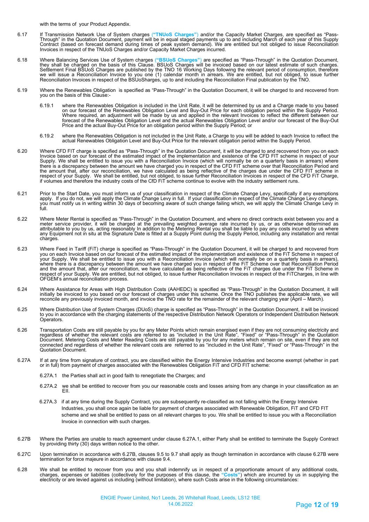with the terms of your Product Appendix.

- 6.17 If Transmission Network Use of System charges (**"TNUoS Charges"**) and/or the Capacity Market Charges, are specified as "Pass-Through" in the Quotation Document, payment will be in equal staged payments up to and including March of each year of this Supply Contract (based on forecast demand during times of peak system demand). We are entitled but not obliged to issue Reconciliation Invoices in respect of the TNUoS Charges and/or Capacity Market Charges incurred.
- 6.18 Where Balancing Services Use of System charges (**"BSUoS Charges"**) are specified as "Pass-Through" in the Quotation Document, they shall be charged on the basis of this Clause. BSUoS Charges will be invoiced based on our latest estimate of such charges.<br>Settlement Final BSUoS Charges are published by the TNO 16 Working Days following the relevant we will issue a Reconciliation Invoice to you one (1) calendar month in arrears. We are entitled, but not obliged, to issue further Reconciliation Invoices in respect of the BSUoSharges, up to and including the Reconciliation Final publication by the TNO.
- 6.19 Where the Renewables Obligation is specified as "Pass-Through" in the Quotation Document, it will be charged to and recovered from you on the basis of this Clause:-
	- 6.19.1 where the Renewables Obligation is included in the Unit Rate, it will be determined by us and a Charge made to you based on our forecast of the Renewables Obligation Level and Buy-Out Price for each obligation period within the Supply Period. Where required, an adjustment will be made by us and applied in the relevant Invoices to reflect the different between our<br>forecast of the Renewables Obligation Level and the actual Renewables Obligation Level and/or our f Price and the actual Buy-Out Price for an obligation period within the Supply Period; or
	- 6.19.2 where the Renewables Obligation is not included in the Unit Rate, a Charge to you will be added to each Invoice to reflect the actual Renewables Obligation Level and Buy-Out Price for the relevant obligation period within the Supply Period.
- 6.20 Where CFD FIT charge is specified as "Pass-Through" in the Quotation Document, it will be charged to and recovered from you on each Invoice based on our forecast of the estimated impact of the implementation and existence of the CFD FIT scheme in respect of your Supply. We shall be entitled to issue you with a Reconciliation Invoice (which will normally be on a quarterly basis in arrears) where there is a discrepancy between the amount we have charged you in respect of the CFD FIT scheme over that Reconciliation Period and<br>the amount that, after our reconciliation, we have calculated as being reflective of the ch respect of your Supply. We shall be entitled, but not obliged, to issue further Reconciliation Invoices in respect of the CFD FiT Charge, if volumes and therefore the industry costs of the CfD FiT scheme continue to evolve with the industry settlement runs.
- 6.21 Prior to the Start Date, you must inform us of your classification in respect of the Climate Change Levy, specifically if any exemptions<br>apply. If you do not, we will apply the Climate Change Levy in full. If your you must notify us in writing within 30 days of becoming aware of such change failing which, we will apply the Climate Change Levy in full.
- 6.22 Where Meter Rental is specified as "Pass-Through" in the Quotation Document, and where no direct contracts exist between you and a<br>meter service provider, it will be charged at the prevailing weighted average rate i attributable to you by us, acting reasonably In addition to the Metering Rental you shall be liable to pay any costs incurred by us where any Equipment not in situ at the Signature Date is fitted at a Supply Point during the Supply Period, including any installation and rental charges.
- 6.23 Where Feed in Tariff (FiT) charge is specified as "Pass-Through" in the Quotation Document, it will be charged to and recovered from you on each Invoice based on our forecast of the estimated impact of the implementation and existence of the FiT Scheme in respect of your Supply. We shall be entitled to issue you with a Reconciliation Invoice (which will normally be on a quarterly basis in arrears), where there is a discrepancy between the amount we have charged you in respect of the FiT Scheme over that Reconciliation Period and the amount that, after our reconciliation, we have calculated as being reflective of the FiT charges due under the FiT Scheme in respect of your Supply. We are entitled, but not obliged, to issue further Reconciliation Invoices in respect of the FiTCharges, in line with OFGEM's annual reconciliation process.
- 6.24 Where Assistance for Areas with High Distribution Costs (AAHEDC) is specified as "Pass-Through" in the Quotation Document, it will initially be invoiced to you based on our forecast of charges under this scheme. Once the TNO publishes the applicable rate, we will reconcile any previously invoiced month, and invoice the TNO rate for the remainder of the relevant charging year (April – March).
- 6.25 Where Distribution Use of System Charges (DUoS) charge is specified as "Pass-Through" in the Quotation Document, it will be invoiced<br>to you in accordance with the charging statements of the respective Distribution N Operators.
- 6.26 Transportation Costs are still payable by you for any Meter Points which remain energised even if they are not consuming electricity and regardless of whether the relevant costs are referred to as "included in the Unit Rate", "Fixed" or "Pass-Through" in the Quotation<br>Document. Metering Costs and Meter Reading Costs are still payable by you for any meters w connected and regardless of whether the relevant costs are referred to as "included in the Unit Rate", "Fixed" or "Pass-Through" in the Quotation Document.
- 6.27A If at any time from signature of contract, you are classified within the Energy Intensive Industries and become exempt (whether in part<br>or in full) from payment of charges associated with the Renewables Obligation Fi
	- 6.27A.1 the Parties shall act in good faith to renegotiate the Charges; and
	- 6.27A.2 we shall be entitled to recover from you our reasonable costs and losses arising from any change in your classification as an EII.
	- 6.27A.3 if at any time during the Supply Contract, you are subsequently re-classified as not falling within the Energy Intensive Industries, you shall once again be liable for payment of charges associated with Renewable Obligation, FiT and CFD FIT scheme and we shall be entitled to pass on all relevant charges to you. We shall be entitled to issue you with a Reconciliation Invoice in connection with such charges.
- 6.27B Where the Parties are unable to reach agreement under clause 6.27A.1, either Party shall be entitled to terminate the Supply Contract by providing thirty (30) days written notice to the other.
- 6.27C Upon termination in accordance with 6.27B, clauses 9.5 to 9.7 shall apply as though termination in accordance with clause 6.27B were termination for force majeure in accordance with clause 9.4.
- 6.28 We shall be entitled to recover from you and you shall indemnify us in respect of a proportionate amount of any additional costs, charges, expenses or liabilities (collectively for the purposes of this clause, the **"Costs"**) which are incurred by us in supplying the electricity or are levied against us including (without limitation), where such Costs arise in the following circumstances: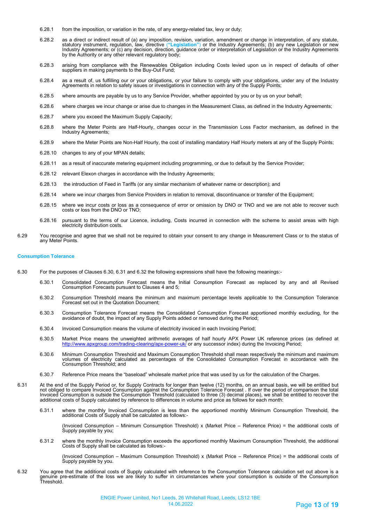- 6.28.1 from the imposition, or variation in the rate, of any energy-related tax, levy or duty;
- 6.28.2 as a direct or indirect result of (a) any imposition, revision, variation, amendment or change in interpretation, of any statute, statutory instrument, regulation, law, directive (**"Legislation"**) or the Industry Agreements; (b) any new Legislation or new Industry Agreements; or (c) any decision, direction, guidance order or interpretation of Legislation or the Industry Agreements by the Authority or any other relevant regulatory body;
- 6.28.3 arising from compliance with the Renewables Obligation including Costs levied upon us in respect of defaults of other suppliers in making payments to the Buy-Out Fund;
- 6.28.4 as a result of, us fulfilling our or your obligations, or your failure to comply with your obligations, under any of the Industry<br>Agreements in relation to safety issues or investigations in connection with any of t
- 6.28.5 where amounts are payable by us to any Service Provider, whether appointed by you or by us on your behalf;
- 6.28.6 where charges we incur change or arise due to changes in the Measurement Class, as defined in the Industry Agreements;
- 6.28.7 where you exceed the Maximum Supply Capacity;
- 6.28.8 where the Meter Points are Half-Hourly, changes occur in the Transmission Loss Factor mechanism, as defined in the Industry Agreements;
- 6.28.9 where the Meter Points are Non-Half Hourly, the cost of installing mandatory Half Hourly meters at any of the Supply Points;
- 6.28.10 changes to any of your MPAN details;
- 6.28.11 as a result of inaccurate metering equipment including programming, or due to default by the Service Provider;
- 6.28.12 relevant Elexon charges in accordance with the Industry Agreements;
- 6.28.13 the introduction of Feed in Tariffs (or any similar mechanism of whatever name or description); and
- 6.28.14 where we incur charges from Service Providers in relation to removal, discontinuance or transfer of the Equipment;
- 6.28.15 where we incur costs or loss as a consequence of error or omission by DNO or TNO and we are not able to recover such costs or loss from the DNO or TNO;
- 6.28.16 pursuant to the terms of our Licence, including, Costs incurred in connection with the scheme to assist areas with high electricity distribution costs.
- 6.29 You recognise and agree that we shall not be required to obtain your consent to any change in Measurement Class or to the status of any Meter Points.

#### **Consumption Tolerance**

- 6.30 For the purposes of Clauses 6.30, 6.31 and 6.32 the following expressions shall have the following meanings:-
	- 6.30.1 Consolidated Consumption Forecast means the Initial Consumption Forecast as replaced by any and all Revised Consumption Forecasts pursuant to Clauses 4 and 5;
	- 6.30.2 Consumption Threshold means the minimum and maximum percentage levels applicable to the Consumption Tolerance Forecast set out in the Quotation Document;
	- 6.30.3 Consumption Tolerance Forecast means the Consolidated Consumption Forecast apportioned monthly excluding, for the avoidance of doubt, the impact of any Supply Points added or removed during the Period;
	- 6.30.4 Invoiced Consumption means the volume of electricity invoiced in each Invoicing Period;
	- 6.30.5 Market Price means the unweighted arithmetic averages of half hourly APX Power UK reference prices (as defined at <http://www.apxgroup.com/trading-clearing/apx-power-uk/> or any successor index) during the Invoicing Period;
	- 6.30.6 Minimum Consumption Threshold and Maximum Consumption Threshold shall mean respectively the minimum and maximum volumes of electricity calculated as percentages of the Consolidated Consumption Forecast in accordance with the Consumption Threshold; and
	- 6.30.7 Reference Price means the "baseload" wholesale market price that was used by us for the calculation of the Charges.
- 6.31 At the end of the Supply Period or, for Supply Contracts for longer than twelve (12) months, on an annual basis, we will be entitled but not obliged to compare Invoiced Consumption against the Consumption Tolerance Forecast . If over the period of comparison the total<br>Invoiced Consumption is outside the Consumption Threshold (calculated to three (3) decimal additional costs of Supply calculated by reference to differences in volume and price as follows for each month:
	- 6.31.1 where the monthly Invoiced Consumption is less than the apportioned monthly Minimum Consumption Threshold, the additional Costs of Supply shall be calculated as follows:-

(Invoiced Consumption – Minimum Consumption Threshold) x (Market Price – Reference Price) = the additional costs of Supply payable by you;

6.31.2 where the monthly Invoice Consumption exceeds the apportioned monthly Maximum Consumption Threshold, the additional Costs of Supply shall be calculated as follows:-

(Invoiced Consumption – Maximum Consumption Threshold) x (Market Price – Reference Price) = the additional costs of Supply payable by you.

6.32 You agree that the additional costs of Supply calculated with reference to the Consumption Tolerance calculation set out above is a<br>genuine pre-estimate of the loss we are likely to suffer in circumstances where you Threshold.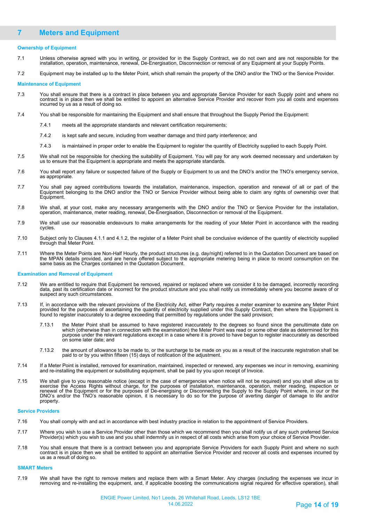## **7 Meters and Equipment**

#### **Ownership of Equipment**

- 7.1 Unless otherwise agreed with you in writing, or provided for in the Supply Contract, we do not own and are not responsible for the<br>installation, operation, maintenance, renewal, De-Energisation, Disconnection or remova
- 7.2 Equipment may be installed up to the Meter Point, which shall remain the property of the DNO and/or the TNO or the Service Provider.

#### **Maintenance of Equipment**

- 7.3 You shall ensure that there is a contract in place between you and appropriate Service Provider for each Supply point and where no contract is in place then we shall be entitled to appoint an alternative Service Provider and recover from you all costs and expenses incurred by us as a result of doing so.
- 7.4 You shall be responsible for maintaining the Equipment and shall ensure that throughout the Supply Period the Equipment:
	- 7.4.1 meets all the appropriate standards and relevant certification requirements;
	- 7.4.2 is kept safe and secure, including from weather damage and third party interference; and
	- 7.4.3 is maintained in proper order to enable the Equipment to register the quantity of Electricity supplied to each Supply Point.
- 7.5 We shall not be responsible for checking the suitability of Equipment. You will pay for any work deemed necessary and undertaken by us to ensure that the Equipment is appropriate and meets the appropriate standards.
- 7.6 You shall report any failure or suspected failure of the Supply or Equipment to us and the DNO's and/or the TNO's emergency service, as appropriate.
- 7.7 You shall pay agreed contributions towards the installation, maintenance, inspection, operation and renewal of all or part of the Equipment belonging to the DNO and/or the TNO or Service Provider without being able to claim any rights of ownership over that Equipment.
- 7.8 We shall, at your cost, make any necessary arrangements with the DNO and/or the TNO or Service Provider for the installation, operation, maintenance, meter reading, renewal, De-Energisation, Disconnection or removal of the Equipment.
- 7.9 We shall use our reasonable endeavours to make arrangements for the reading of your Meter Point in accordance with the reading cycles.
- 7.10 Subject only to Clauses 4.1.1 and 4.1.2, the register of a Meter Point shall be conclusive evidence of the quantity of electricity supplied through that Meter Point.
- 7.11 Where the Meter Points are Non-Half Hourly, the product structures (e.g. day/night) referred to in the Quotation Document are based on the MPAN details provided, and are hence offered subject to the appropriate metering being in place to record consumption on the same basis as the Charges contained in the Quotation Document.

#### **Examination and Removal of Equipment**

- 7.12 We are entitled to require that Equipment be removed, repaired or replaced where we consider it to be damaged, incorrectly recording<br>data, past its certification date or incorrect for the product structure and you s suspect any such circumstances.
- 7.13 If, in accordance with the relevant provisions of the Electricity Act, either Party requires a meter examiner to examine any Meter Point provided for the purposes of ascertaining the quantity of electricity supplied under this Supply Contract, then where the Equipment is found to register inaccurately to a degree exceeding that permitted by regulations under the said provision;
	- 7.13.1 the Meter Point shall be assumed to have registered inaccurately to the degrees so found since the penultimate date on which (otherwise than in connection with the examination) the Meter Point was read or some other date as determined for this purpose under the relevant regulations except in a case where it is proved to have begun to register inaccurately as described on some later date; and
	- 7.13.2 the amount of allowance to be made to, or the surcharge to be made on you as a result of the inaccurate registration shall be paid to or by you within fifteen (15) days of notification of the adjustment.
- 7.14 If a Meter Point is installed, removed for examination, maintained, inspected or renewed, any expenses we incur in removing, examining and re-installing the equipment or substituting equipment, shall be paid by you upon receipt of Invoice.
- 7.15 We shall give to you reasonable notice (except in the case of emergencies when notice will not be required) and you shall allow us to<br>exercise the Access Rights without charge, for the purposes of installation, main renewal of the Equipment or for the purposes of De-energising or Disconnecting the Supply to the Supply Point where, in our or the DNO's and/or the TNO's reasonable opinion, it is necessary to do so for the purpose of averting danger of damage to life and/or property.

#### **Service Providers**

- 7.16 You shall comply with and act in accordance with best industry practice in relation to the appointment of Service Providers.
- 7.17 Where you wish to use a Service Provider other than those which we recommend then you shall notify us of any such preferred Service Provider(s) which you wish to use and you shall indemnify us in respect of all costs which arise from your choice of Service Provider.
- 7.18 You shall ensure that there is a contract between you and appropriate Service Providers for each Supply Point and where no such contract is in place then we shall be entitled to appoint an alternative Service Provider and recover all costs and expenses incurred by us as a result of doing so.

#### **SMART Meters**

7.19 We shall have the right to remove meters and replace them with a Smart Meter. Any charges (including the expenses we incur in removing and re-installing the equipment, and, if applicable boosting the communications signal required for effective operation), shall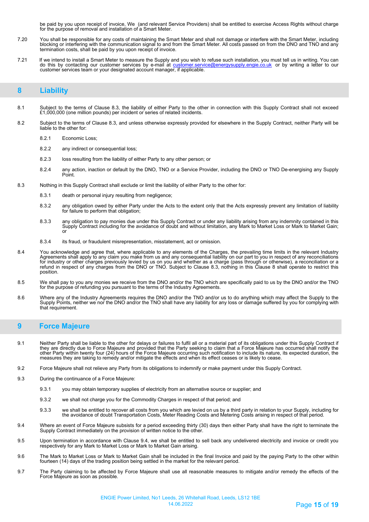be paid by you upon receipt of invoice, We (and relevant Service Providers) shall be entitled to exercise Access Rights without charge for the purpose of removal and installation of a Smart Meter.

- 7.20 You shall be responsible for any costs of maintaining the Smart Meter and shall not damage or interfere with the Smart Meter, including blocking or interfering with the communication signal to and from the Smart Meter. All costs passed on from the DNO and TNO and any termination costs, shall be paid by you upon receipt of invoice.
- 7.21 If we intend to install a Smart Meter to measure the Supply and you wish to refuse such installation, you must tell us in writing. You can do this by contacting our customer services by e-mail at <u>customer.service@energysupply.engie.co.uk</u> or by writing a letter to our customer services team or your designated account manager, if applicable.

## **8 Liability**

- 8.1 Subject to the terms of Clause 8.3, the liability of either Party to the other in connection with this Supply Contract shall not exceed £1,000,000 (one million pounds) per incident or series of related incidents.
- 8.2 Subject to the terms of Clause 8.3, and unless otherwise expressly provided for elsewhere in the Supply Contract, neither Party will be liable to the other for:
	- 8.2.1 Economic Loss;
	- 8.2.2 any indirect or consequential loss;
	- 8.2.3 loss resulting from the liability of either Party to any other person; or
	- 8.2.4 any action, inaction or default by the DNO, TNO or a Service Provider, including the DNO or TNO De-energising any Supply Point.
- 8.3 Nothing in this Supply Contract shall exclude or limit the liability of either Party to the other for:
	- 8.3.1 death or personal injury resulting from negligence;
	- 8.3.2 any obligation owed by either Party under the Acts to the extent only that the Acts expressly prevent any limitation of liability for failure to perform that obligation;
	- 8.3.3 any obligation to pay monies due under this Supply Contract or under any liability arising from any indemnity contained in this Supply Contract including for the avoidance of doubt and without limitation, any Mark to Market Loss or Mark to Market Gain; or
	- 8.3.4 its fraud, or fraudulent misrepresentation, misstatement, act or omission.
- 8.4 You acknowledge and agree that, where applicable to any elements of the Charges, the prevailing time limits in the relevant Industry Agreements shall apply to any claim you make from us and any consequential liability on our part to you in respect of any reconciliations<br>for industry or other charges previously levied by us on you and whether as a charge refund in respect of any charges from the DNO or TNO. Subject to Clause 8.3, nothing in this Clause 8 shall operate to restrict this position.
- 8.5 We shall pay to you any monies we receive from the DNO and/or the TNO which are specifically paid to us by the DNO and/or the TNO for the purpose of refunding you pursuant to the terms of the Industry Agreements.
- 8.6 Where any of the Industry Agreements requires the DNO and/or the TNO and/or us to do anything which may affect the Supply to the Supply Points, neither we nor the DNO and/or the TNO shall have any liability for any loss or damage suffered by you for complying with that requirement.

## **9 Force Majeure**

- 9.1 Neither Party shall be liable to the other for delays or failures to fulfil all or a material part of its obligations under this Supply Contract if they are directly due to Force Majeure and provided that the Party seeking to claim that a Force Majeure has occurred shall notify the<br>other Party within twenty four (24) hours of the Force Majeure occurring such notificat measures they are taking to remedy and/or mitigate the effects and when its effect ceases or is likely to cease.
- 9.2 Force Majeure shall not relieve any Party from its obligations to indemnify or make payment under this Supply Contract.
- 9.3 During the continuance of a Force Majeure:
	- 9.3.1 you may obtain temporary supplies of electricity from an alternative source or supplier; and
	- 9.3.2 we shall not charge you for the Commodity Charges in respect of that period; and
	- 9.3.3 we shall be entitled to recover all costs from you which are levied on us by a third party in relation to your Supply, including for the avoidance of doubt Transportation Costs, Meter Reading Costs and Metering Costs arising in respect of that period.
- 9.4 Where an event of Force Majeure subsists for a period exceeding thirty (30) days then either Party shall have the right to terminate the Supply Contract immediately on the provision of written notice to the other.
- 9.5 Upon termination in accordance with Clause 9.4, we shall be entitled to sell back any undelivered electricity and invoice or credit you respectively for any Mark to Market Loss or Mark to Market Gain arising.
- 9.6 The Mark to Market Loss or Mark to Market Gain shall be included in the final Invoice and paid by the paying Party to the other within fourteen (14) days of the trading position being settled in the market for the relevant period.
- 9.7 The Party claiming to be affected by Force Majeure shall use all reasonable measures to mitigate and/or remedy the effects of the Force Majeure as soon as possible.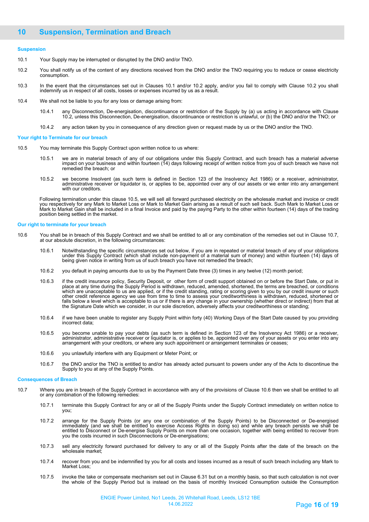#### **Suspension**

- 10.1 Your Supply may be interrupted or disrupted by the DNO and/or TNO.
- 10.2 You shall notify us of the content of any directions received from the DNO and/or the TNO requiring you to reduce or cease electricity consumption.
- 10.3 In the event that the circumstances set out in Clauses 10.1 and/or 10.2 apply, and/or you fail to comply with Clause 10.2 you shall indemnify us in respect of all costs, losses or expenses incurred by us as a result.
- 10.4 We shall not be liable to you for any loss or damage arising from:
	- 10.4.1 any Disconnection, De-energisation, discontinuance or restriction of the Supply by (a) us acting in accordance with Clause 10.2, unless this Disconnection, De-energisation, discontinuance or restriction is unlawful, or (b) the DNO and/or the TNO; or
	- 10.4.2 any action taken by you in consequence of any direction given or request made by us or the DNO and/or the TNO.

#### **Your right to Terminate for our breach**

- 10.5 You may terminate this Supply Contract upon written notice to us where:
	- 10.5.1 we are in material breach of any of our obligations under this Supply Contract, and such breach has a material adverse impact on your business and within fourteen (14) days following receipt of written notice from you of such breach we have not remedied the breach; or
	- 10.5.2 we become Insolvent (as such term is defined in Section 123 of the Insolvency Act 1986) or a receiver, administrator, administrative receiver or liquidator is, or applies to be, appointed over any of our assets or we enter into any arrangement with our creditors.

Following termination under this clause 10.5, we will sell all forward purchased electricity on the wholesale market and invoice or credit you respectively for any Mark to Market Loss or Mark to Market Gain arising as a result of such sell back. Such Mark to Market Loss or Mark to Market Gain shall be included in a final Invoice and paid by the paying Party to the other within fourteen (14) days of the trading position being settled in the market.

#### **Our right to terminate for your breach**

- 10.6 You shall be in breach of this Supply Contract and we shall be entitled to all or any combination of the remedies set out in Clause 10.7, at our absolute discretion, in the following circumstances:
	- 10.6.1 Notwithstanding the specific circumstances set out below, if you are in repeated or material breach of any of your obligations<br>under this Supply Contract (which shall include non-payment of a material sum of money)
	- 10.6.2 you default in paying amounts due to us by the Payment Date three (3) times in any twelve (12) month period;
	- 10.6.3 if the credit insurance policy, Security Deposit, or other form of credit support obtained on or before the Start Date, or put in place at any time during the Supply Period is withdrawn, reduced, amended, shortened, the terms are breached, or conditions which are unacceptable to us are applied, or if the credit standing, rating or scoring given to you by our credit insurer or such other credit reference agency we use from time to time to assess your creditworthiness is withdrawn, reduced, shortened or falls below a level which is acceptable to us or if there is any change in your ownership (whether direct or indirect) from that at the Signature Date which we consider, in our sole discretion, adversely affects your creditworthiness or standing;
	- 10.6.4 if we have been unable to register any Supply Point within forty (40) Working Days of the Start Date caused by you providing incorrect data;
	- 10.6.5 you become unable to pay your debts (as such term is defined in Section 123 of the Insolvency Act 1986) or a receiver, administrator, administrative receiver or liquidator is, or applies to be, appointed over any of your assets or you enter into any arrangement with your creditors, or where any such appointment or arrangement terminates or ceases;
	- 10.6.6 you unlawfully interfere with any Equipment or Meter Point; or
	- 10.6.7 the DNO and/or the TNO is entitled to and/or has already acted pursuant to powers under any of the Acts to discontinue the Supply to you at any of the Supply Points.

#### **Consequences of Breach**

- 10.7 Where you are in breach of the Supply Contract in accordance with any of the provisions of Clause 10.6 then we shall be entitled to all or any combination of the following remedies:
	- 10.7.1 terminate this Supply Contract for any or all of the Supply Points under the Supply Contract immediately on written notice to you;
	- 10.7.2 arrange for the Supply Points (or any one or combination of the Supply Points) to be Disconnected or De-energised immediately (and we shall be entitled to exercise Access Rights in doing so) and while any breach persists we shall be<br>entitled to Disconnect or De-energise Supply Points on more than one occasion, together with being enti you the costs incurred in such Disconnections or De-energisations;
	- 10.7.3 sell any electricity forward purchased for delivery to any or all of the Supply Points after the date of the breach on the wholesale market;
	- 10.7.4 recover from you and be indemnified by you for all costs and losses incurred as a result of such breach including any Mark to Market Loss;
	- 10.7.5 invoke the take or compensate mechanism set out in Clause 6.31 but on a monthly basis, so that such calculation is not over the whole of the Supply Period but is instead on the basis of monthly Invoiced Consumption outside the Consumption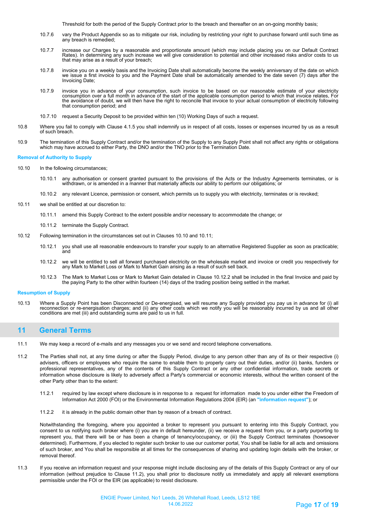Threshold for both the period of the Supply Contract prior to the breach and thereafter on an on-going monthly basis;

- 10.7.6 vary the Product Appendix so as to mitigate our risk, including by restricting your right to purchase forward until such time as any breach is remedied;
- 10.7.7 increase our Charges by a reasonable and proportionate amount (which may include placing you on our Default Contract Rates). In determining any such increase we will give consideration to potential and other increased risks and/or costs to us that may arise as a result of your breach;
- 10.7.8 invoice you on a weekly basis and the Invoicing Date shall automatically become the weekly anniversary of the date on which we issue a first invoice to you and the Payment Date shall be automatically amended to the date seven (7) days after the Invoicing Date;
- 10.7.9 invoice you in advance of your consumption, such invoice to be based on our reasonable estimate of your electricity consumption over a full month in advance of the start of the applicable consumption period to which that invoice relates, For the avoidance of doubt, we will then have the right to reconcile that invoice to your actual consumption of electricity following that consumption period; and
- 10.7.10 request a Security Deposit to be provided within ten (10) Working Days of such a request.
- 10.8 Where you fail to comply with Clause 4.1.5 you shall indemnify us in respect of all costs, losses or expenses incurred by us as a result of such breach.
- 10.9 The termination of this Supply Contract and/or the termination of the Supply to any Supply Point shall not affect any rights or obligations which may have accrued to either Party, the DNO and/or the TNO prior to the Termination Date.

#### **Removal of Authority to Supply**

- 10.10 In the following circumstances;
	- 10.10.1 any authorisation or consent granted pursuant to the provisions of the Acts or the Industry Agreements terminates, or is withdrawn, or is amended in a manner that materially affects our ability to perform our obligations; or
	- 10.10.2 any relevant Licence, permission or consent, which permits us to supply you with electricity, terminates or is revoked;
- 10.11 we shall be entitled at our discretion to:
	- 10.11.1 amend this Supply Contract to the extent possible and/or necessary to accommodate the change; or
	- 10.11.2 terminate the Supply Contract.
- 10.12 Following termination in the circumstances set out in Clauses 10.10 and 10.11;
	- 10.12.1 you shall use all reasonable endeavours to transfer your supply to an alternative Registered Supplier as soon as practicable; and
	- 10.12.2 we will be entitled to sell all forward purchased electricity on the wholesale market and invoice or credit you respectively for any Mark to Market Loss or Mark to Market Gain arising as a result of such sell back.
	- 10.12.3 The Mark to Market Loss or Mark to Market Gain detailed in Clause 10.12.2 shall be included in the final Invoice and paid by the paying Party to the other within fourteen (14) days of the trading position being settled in the market.

#### **Resumption of Supply**

10.13 Where a Supply Point has been Disconnected or De-energised, we will resume any Supply provided you pay us in advance for (i) all reconnection or re-energisation charges; and (ii) any other costs which we notify you will be reasonably incurred by us and all other<br>conditions are met (iii) and outstanding sums are paid to us in full.

## **11 General Terms**

- 11.1 We may keep a record of e-mails and any messages you or we send and record telephone conversations.
- 11.2 The Parties shall not, at any time during or after the Supply Period, divulge to any person other than any of its or their respective (i) advisers, officers or employees who require the same to enable them to properly carry out their duties, and/or (ii) banks, funders or professional representatives, any of the contents of this Supply Contract or any other confidential information, trade secrets or information whose disclosure is likely to adversely affect a Party's commercial or economic interests, without the written consent of the other Party other than to the extent:
	- 11.2.1 required by law except where disclosure is in response to a request for information made to you under either the Freedom of Information Act 2000 (FOI) or the Environmental Information Regulations 2004 (EIR) (an **"information request"**); or
	- 11.2.2 it is already in the public domain other than by reason of a breach of contract.

Notwithstanding the foregoing, where you appointed a broker to represent you pursuant to entering into this Supply Contract, you consent to us notifying such broker where (i) you are in default hereunder, (ii) we receive a request from you, or a party purporting to represent you, that there will be or has been a change of tenancy/occupancy, or (iii) the Supply Contract terminates (howsoever determined). Furthermore, if you elected to register such broker to use our customer portal, You shall be liable for all acts and omissions of such broker, and You shall be responsible at all times for the consequences of sharing and updating login details with the broker, or removal thereof.

11.3 If you receive an information request and your response might include disclosing any of the details of this Supply Contract or any of our information (without prejudice to Clause 11.2), you shall prior to disclosure notify us immediately and apply all relevant exemptions permissible under the FOI or the EIR (as applicable) to resist disclosure.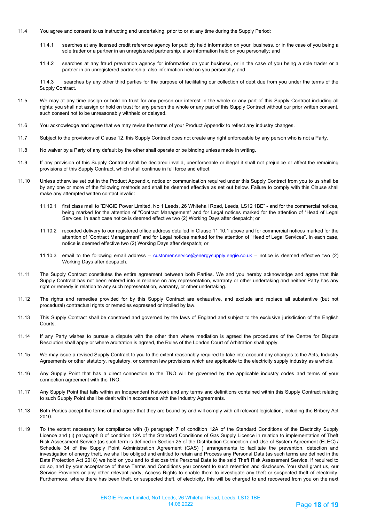- 11.4 You agree and consent to us instructing and undertaking, prior to or at any time during the Supply Period:
	- 11.4.1 searches at any licensed credit reference agency for publicly held information on your business, or in the case of you being a sole trader or a partner in an unregistered partnership, also information held on you personally; and
	- 11.4.2 searches at any fraud prevention agency for information on your business, or in the case of you being a sole trader or a partner in an unregistered partnership, also information held on you personally; and

11.4.3 searches by any other third parties for the purpose of facilitating our collection of debt due from you under the terms of the Supply Contract.

- 11.5 We may at any time assign or hold on trust for any person our interest in the whole or any part of this Supply Contract including all rights; you shall not assign or hold on trust for any person the whole or any part of this Supply Contract without our prior written consent, such consent not to be unreasonably withheld or delayed.
- 11.6 You acknowledge and agree that we may revise the terms of your Product Appendix to reflect any industry changes.
- 11.7 Subject to the provisions of Clause 12, this Supply Contract does not create any right enforceable by any person who is not a Party.
- 11.8 No waiver by a Party of any default by the other shall operate or be binding unless made in writing.
- 11.9 If any provision of this Supply Contract shall be declared invalid, unenforceable or illegal it shall not prejudice or affect the remaining provisions of this Supply Contract, which shall continue in full force and effect.
- 11.10 Unless otherwise set out in the Product Appendix, notice or communication required under this Supply Contract from you to us shall be by any one or more of the following methods and shall be deemed effective as set out below. Failure to comply with this Clause shall make any attempted written contact invalid:
	- 11.10.1 first class mail to "ENGIE Power Limited, No 1 Leeds, 26 Whitehall Road, Leeds, LS12 1BE" and for the commercial notices, being marked for the attention of "Contract Management" and for Legal notices marked for the attention of "Head of Legal Services. In each case notice is deemed effective two (2) Working Days after despatch; or
	- 11.10.2 recorded delivery to our registered office address detailed in Clause 11.10.1 above and for commercial notices marked for the attention of "Contract Management" and for Legal notices marked for the attention of "Head of Legal Services". In each case, notice is deemed effective two (2) Working Days after despatch; or
	- 11.10.3 email to the following email address – [customer.service@energysupply.engie.co.uk](mailto:customer.service@energysupply.engie.co.uk)  notice is deemed effective two (2) Working Days after despatch.
- 11.11 The Supply Contract constitutes the entire agreement between both Parties. We and you hereby acknowledge and agree that this Supply Contract has not been entered into in reliance on any representation, warranty or other undertaking and neither Party has any right or remedy in relation to any such representation, warranty, or other undertaking.
- 11.12 The rights and remedies provided for by this Supply Contract are exhaustive, and exclude and replace all substantive (but not procedural) contractual rights or remedies expressed or implied by law.
- 11.13 This Supply Contract shall be construed and governed by the laws of England and subject to the exclusive jurisdiction of the English Courts.
- 11.14 If any Party wishes to pursue a dispute with the other then where mediation is agreed the procedures of the Centre for Dispute Resolution shall apply or where arbitration is agreed, the Rules of the London Court of Arbitration shall apply.
- 11.15 We may issue a revised Supply Contract to you to the extent reasonably required to take into account any changes to the Acts, Industry Agreements or other statutory, regulatory, or common law provisions which are applicable to the electricity supply industry as a whole.
- 11.16 Any Supply Point that has a direct connection to the TNO will be governed by the applicable industry codes and terms of your connection agreement with the TNO.
- 11.17 Any Supply Point that falls within an Independent Network and any terms and definitions contained within this Supply Contract relating to such Supply Point shall be dealt with in accordance with the Industry Agreements.
- 11.18 Both Parties accept the terms of and agree that they are bound by and will comply with all relevant legislation, including the Bribery Act 2010.
- 11.19 To the extent necessary for compliance with (i) paragraph 7 of condition 12A of the Standard Conditions of the Electricity Supply Licence and (ii) paragraph 8 of condition 12A of the Standard Conditions of Gas Supply Licence in relation to implementation of Theft Risk Assessment Service (as such term is defined in Section 25 of the Distribution Connection and Use of System Agreement (ELEC) / Schedule 34 of the Supply Point Administration Agreement (GAS) ) arrangements to facilitate the prevention, detection and investigation of energy theft, we shall be obliged and entitled to retain and Process any Personal Data (as such terms are defined in the Data Protection Act 2018) we hold on you and to disclose this Personal Data to the said Theft Risk Assessment Service, if required to do so, and by your acceptance of these Terms and Conditions you consent to such retention and disclosure. You shall grant us, our Service Providers or any other relevant party, Access Rights to enable them to investigate any theft or suspected theft of electricity. Furthermore, where there has been theft, or suspected theft, of electricity, this will be charged to and recovered from you on the next